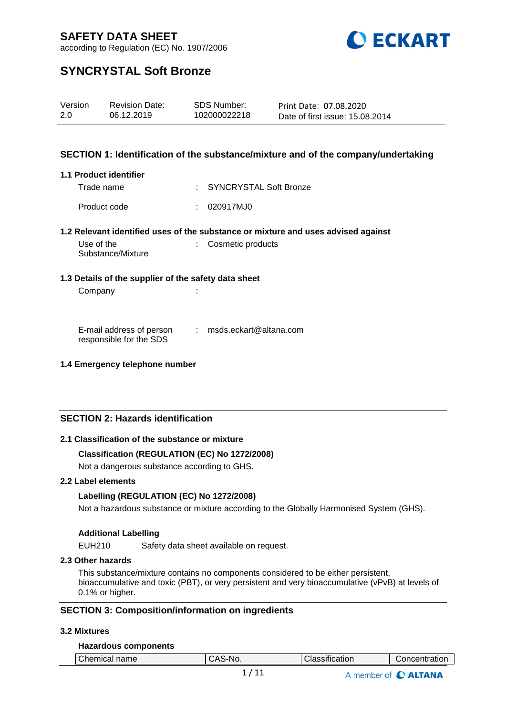

according to Regulation (EC) No. 1907/2006

## **SYNCRYSTAL Soft Bronze**

| Version | <b>Revision Date:</b> | SDS Number:  | Print Date: 07.08.2020          |
|---------|-----------------------|--------------|---------------------------------|
| 2.0     | 06.12.2019            | 102000022218 | Date of first issue: 15.08.2014 |

#### **SECTION 1: Identification of the substance/mixture and of the company/undertaking**

#### **1.1 Product identifier**

Trade name : SYNCRYSTAL Soft Bronze Product code : 020917MJ0

#### **1.2 Relevant identified uses of the substance or mixture and uses advised against**

| Use of the        | : Cosmetic products |
|-------------------|---------------------|
| Substance/Mixture |                     |

#### **1.3 Details of the supplier of the safety data sheet**

Company in the company of the company of the contract of the contract of the contract of the contract of the contract of the contract of the contract of the contract of the contract of the contract of the contract of the c

E-mail address of person responsible for the SDS : msds.eckart@altana.com

#### **1.4 Emergency telephone number**

#### **SECTION 2: Hazards identification**

#### **2.1 Classification of the substance or mixture**

#### **Classification (REGULATION (EC) No 1272/2008)**

Not a dangerous substance according to GHS.

#### **2.2 Label elements**

#### **Labelling (REGULATION (EC) No 1272/2008)**

Not a hazardous substance or mixture according to the Globally Harmonised System (GHS).

#### **Additional Labelling**

EUH210 Safety data sheet available on request.

#### **2.3 Other hazards**

This substance/mixture contains no components considered to be either persistent, bioaccumulative and toxic (PBT), or very persistent and very bioaccumulative (vPvB) at levels of 0.1% or higher.

#### **SECTION 3: Composition/information on ingredients**

#### **3.2 Mixtures**

#### **Hazardous components**

|  |  | Chemical<br>name | $\Lambda$<br>.S-Nr<br>ᇺ<br>Ü | $\cdot$ .<br>Classification | Concentration |
|--|--|------------------|------------------------------|-----------------------------|---------------|
|--|--|------------------|------------------------------|-----------------------------|---------------|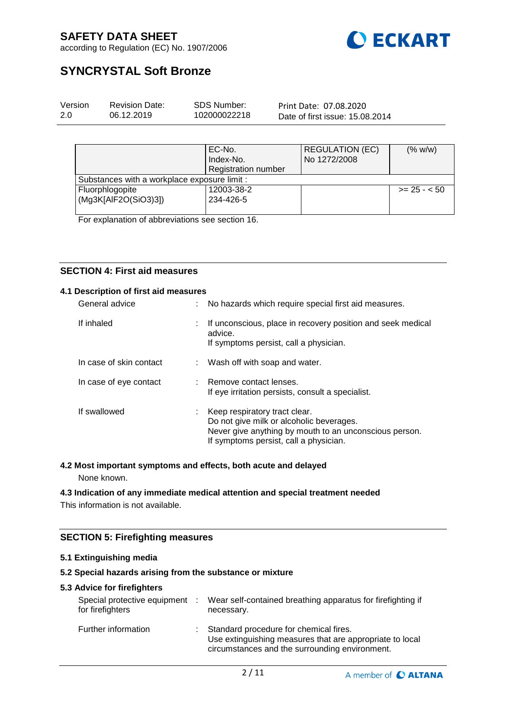

according to Regulation (EC) No. 1907/2006

## **SYNCRYSTAL Soft Bronze**

| Version | <b>Revision Date:</b> | SDS Number:  | Print Date: 07.08.2020          |  |
|---------|-----------------------|--------------|---------------------------------|--|
| 2.0     | 06.12.2019            | 102000022218 | Date of first issue: 15,08,2014 |  |
|         |                       |              |                                 |  |

|                                              | EC-No.<br>Index-No.<br><b>Registration number</b> | <b>REGULATION (EC)</b><br>No 1272/2008 | (% w/w)      |
|----------------------------------------------|---------------------------------------------------|----------------------------------------|--------------|
| Substances with a workplace exposure limit : |                                                   |                                        |              |
| Fluorphlogopite<br>(Mg3K[AlF2O(SiO3)3])      | 12003-38-2<br>234-426-5                           |                                        | $>= 25 - 50$ |

For explanation of abbreviations see section 16.

#### **SECTION 4: First aid measures**

#### **4.1 Description of first aid measures**

| General advice          |    | No hazards which require special first aid measures.                                                                                                                          |
|-------------------------|----|-------------------------------------------------------------------------------------------------------------------------------------------------------------------------------|
| If inhaled              |    | If unconscious, place in recovery position and seek medical<br>advice.<br>If symptoms persist, call a physician.                                                              |
| In case of skin contact |    | Wash off with soap and water.                                                                                                                                                 |
| In case of eye contact  |    | : Remove contact lenses.<br>If eye irritation persists, consult a specialist.                                                                                                 |
| If swallowed            | ÷. | Keep respiratory tract clear.<br>Do not give milk or alcoholic beverages.<br>Never give anything by mouth to an unconscious person.<br>If symptoms persist, call a physician. |

#### **4.2 Most important symptoms and effects, both acute and delayed**

None known.

#### **4.3 Indication of any immediate medical attention and special treatment needed**

This information is not available.

#### **SECTION 5: Firefighting measures**

#### **5.1 Extinguishing media**

#### **5.2 Special hazards arising from the substance or mixture**

#### **5.3 Advice for firefighters**

| Special protective equipment<br>for firefighters | ÷ | Wear self-contained breathing apparatus for firefighting if<br>necessary.                                                                            |
|--------------------------------------------------|---|------------------------------------------------------------------------------------------------------------------------------------------------------|
| Further information                              | ÷ | Standard procedure for chemical fires.<br>Use extinguishing measures that are appropriate to local<br>circumstances and the surrounding environment. |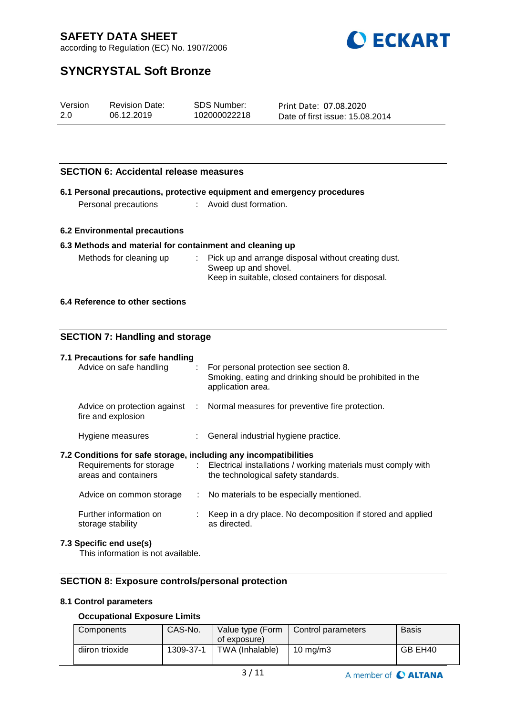

according to Regulation (EC) No. 1907/2006

## **SYNCRYSTAL Soft Bronze**

| Version | <b>Revision Date:</b> | SDS Number:  | Print Date: 07.08.2020          |
|---------|-----------------------|--------------|---------------------------------|
| 2.0     | 06.12.2019            | 102000022218 | Date of first issue: 15.08.2014 |

#### **SECTION 6: Accidental release measures**

|                      | 6.1 Personal precautions, protective equipment and emergency procedures |
|----------------------|-------------------------------------------------------------------------|
| Personal precautions | Avoid dust formation.                                                   |

#### **6.2 Environmental precautions**

#### **6.3 Methods and material for containment and cleaning up**

| Methods for cleaning up | : Pick up and arrange disposal without creating dust. |
|-------------------------|-------------------------------------------------------|
|                         | Sweep up and shovel.                                  |
|                         | Keep in suitable, closed containers for disposal.     |

#### **6.4 Reference to other sections**

#### **SECTION 7: Handling and storage**

| 7.1 Precautions for safe handling<br>Advice on safe handling                             | $\therefore$ For personal protection see section 8.<br>Smoking, eating and drinking should be prohibited in the<br>application area. |
|------------------------------------------------------------------------------------------|--------------------------------------------------------------------------------------------------------------------------------------|
| fire and explosion                                                                       | Advice on protection against : Normal measures for preventive fire protection.                                                       |
| Hygiene measures                                                                         | : General industrial hygiene practice.                                                                                               |
| 7.2 Conditions for safe storage, including any incompatibilities<br>areas and containers | Requirements for storage : Electrical installations / working materials must comply with<br>the technological safety standards.      |
| Advice on common storage                                                                 | : No materials to be especially mentioned.                                                                                           |
| Further information on<br>storage stability                                              | : Keep in a dry place. No decomposition if stored and applied<br>as directed.                                                        |
| 7.3 Specific end use(s)                                                                  |                                                                                                                                      |

This information is not available.

#### **SECTION 8: Exposure controls/personal protection**

#### **8.1 Control parameters**

#### **Occupational Exposure Limits**

| Components      | CAS-No.   | of exposure)    | Value type (Form   Control parameters | Basis   |
|-----------------|-----------|-----------------|---------------------------------------|---------|
| diiron trioxide | 1309-37-1 | TWA (Inhalable) | 10 ma/m3                              | GB EH40 |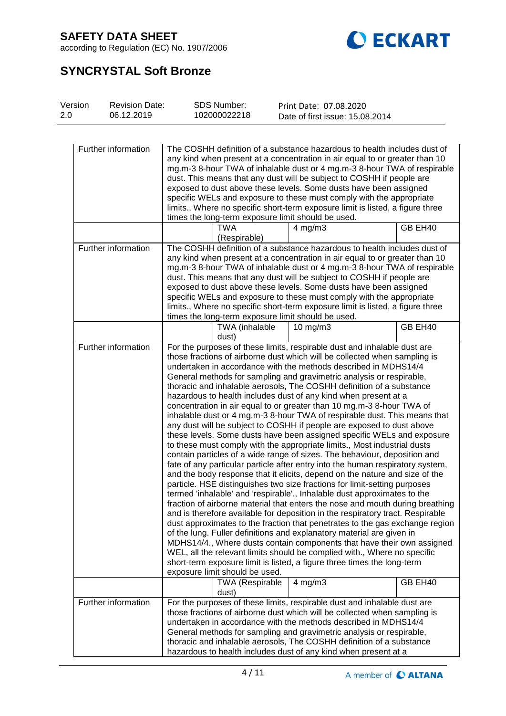

according to Regulation (EC) No. 1907/2006

# **SYNCRYSTAL Soft Bronze**

| Version<br><b>Revision Date:</b><br>2.0<br>06.12.2019 | <b>SDS Number:</b><br>102000022218                                                                                                                                                                                                                                                                                                                                                                                                                                                                                                                                                                                                                                                                                                                                                                                                                                                                                                                                                                                                                                                                                                                                                                                                                                                                                                                                                                                                                                                                                                                                                                                                                                                                                                                                                                                                                               | Print Date: 07.08.2020<br>Date of first issue: 15.08.2014 |         |
|-------------------------------------------------------|------------------------------------------------------------------------------------------------------------------------------------------------------------------------------------------------------------------------------------------------------------------------------------------------------------------------------------------------------------------------------------------------------------------------------------------------------------------------------------------------------------------------------------------------------------------------------------------------------------------------------------------------------------------------------------------------------------------------------------------------------------------------------------------------------------------------------------------------------------------------------------------------------------------------------------------------------------------------------------------------------------------------------------------------------------------------------------------------------------------------------------------------------------------------------------------------------------------------------------------------------------------------------------------------------------------------------------------------------------------------------------------------------------------------------------------------------------------------------------------------------------------------------------------------------------------------------------------------------------------------------------------------------------------------------------------------------------------------------------------------------------------------------------------------------------------------------------------------------------------|-----------------------------------------------------------|---------|
| Further information                                   | The COSHH definition of a substance hazardous to health includes dust of<br>any kind when present at a concentration in air equal to or greater than 10<br>mg.m-3 8-hour TWA of inhalable dust or 4 mg.m-3 8-hour TWA of respirable<br>dust. This means that any dust will be subject to COSHH if people are<br>exposed to dust above these levels. Some dusts have been assigned<br>specific WELs and exposure to these must comply with the appropriate<br>limits., Where no specific short-term exposure limit is listed, a figure three<br>times the long-term exposure limit should be used.                                                                                                                                                                                                                                                                                                                                                                                                                                                                                                                                                                                                                                                                                                                                                                                                                                                                                                                                                                                                                                                                                                                                                                                                                                                                |                                                           |         |
|                                                       | <b>TWA</b><br>(Respirable)                                                                                                                                                                                                                                                                                                                                                                                                                                                                                                                                                                                                                                                                                                                                                                                                                                                                                                                                                                                                                                                                                                                                                                                                                                                                                                                                                                                                                                                                                                                                                                                                                                                                                                                                                                                                                                       | $4$ mg/m $3$                                              | GB EH40 |
| Further information                                   | The COSHH definition of a substance hazardous to health includes dust of<br>any kind when present at a concentration in air equal to or greater than 10<br>mg.m-3 8-hour TWA of inhalable dust or 4 mg.m-3 8-hour TWA of respirable<br>dust. This means that any dust will be subject to COSHH if people are<br>exposed to dust above these levels. Some dusts have been assigned<br>specific WELs and exposure to these must comply with the appropriate<br>limits., Where no specific short-term exposure limit is listed, a figure three<br>times the long-term exposure limit should be used.                                                                                                                                                                                                                                                                                                                                                                                                                                                                                                                                                                                                                                                                                                                                                                                                                                                                                                                                                                                                                                                                                                                                                                                                                                                                |                                                           |         |
|                                                       | TWA (inhalable<br>dust)                                                                                                                                                                                                                                                                                                                                                                                                                                                                                                                                                                                                                                                                                                                                                                                                                                                                                                                                                                                                                                                                                                                                                                                                                                                                                                                                                                                                                                                                                                                                                                                                                                                                                                                                                                                                                                          | $10$ mg/m $3$                                             | GB EH40 |
| Further information                                   | For the purposes of these limits, respirable dust and inhalable dust are<br>those fractions of airborne dust which will be collected when sampling is<br>undertaken in accordance with the methods described in MDHS14/4<br>General methods for sampling and gravimetric analysis or respirable,<br>thoracic and inhalable aerosols, The COSHH definition of a substance<br>hazardous to health includes dust of any kind when present at a<br>concentration in air equal to or greater than 10 mg.m-3 8-hour TWA of<br>inhalable dust or 4 mg.m-3 8-hour TWA of respirable dust. This means that<br>any dust will be subject to COSHH if people are exposed to dust above<br>these levels. Some dusts have been assigned specific WELs and exposure<br>to these must comply with the appropriate limits., Most industrial dusts<br>contain particles of a wide range of sizes. The behaviour, deposition and<br>fate of any particular particle after entry into the human respiratory system,<br>and the body response that it elicits, depend on the nature and size of the<br>particle. HSE distinguishes two size fractions for limit-setting purposes<br>termed 'inhalable' and 'respirable'., Inhalable dust approximates to the<br>fraction of airborne material that enters the nose and mouth during breathing<br>and is therefore available for deposition in the respiratory tract. Respirable<br>dust approximates to the fraction that penetrates to the gas exchange region<br>of the lung. Fuller definitions and explanatory material are given in<br>MDHS14/4., Where dusts contain components that have their own assigned<br>WEL, all the relevant limits should be complied with., Where no specific<br>short-term exposure limit is listed, a figure three times the long-term<br>exposure limit should be used.<br><b>TWA (Respirable</b> | $4$ mg/m $3$                                              | GB EH40 |
| Further information                                   | dust)<br>For the purposes of these limits, respirable dust and inhalable dust are<br>those fractions of airborne dust which will be collected when sampling is<br>undertaken in accordance with the methods described in MDHS14/4<br>General methods for sampling and gravimetric analysis or respirable,<br>thoracic and inhalable aerosols, The COSHH definition of a substance<br>hazardous to health includes dust of any kind when present at a                                                                                                                                                                                                                                                                                                                                                                                                                                                                                                                                                                                                                                                                                                                                                                                                                                                                                                                                                                                                                                                                                                                                                                                                                                                                                                                                                                                                             |                                                           |         |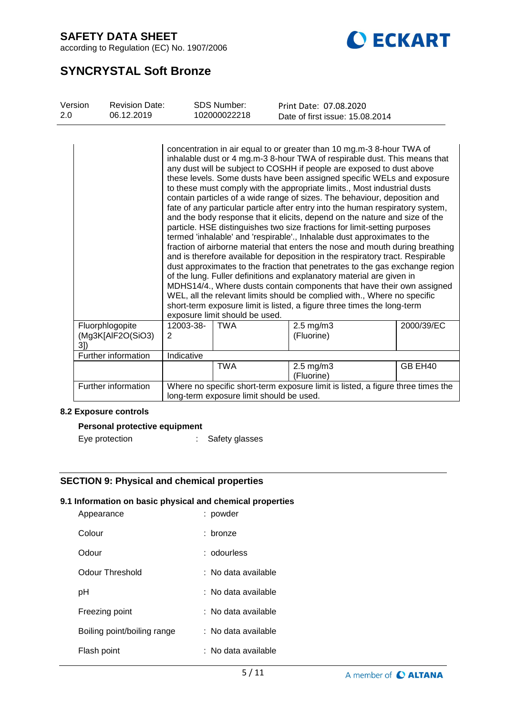

according to Regulation (EC) No. 1907/2006

## **SYNCRYSTAL Soft Bronze**

| Version<br>2.0 | <b>Revision Date:</b><br>06.12.2019  |                | <b>SDS Number:</b><br>102000022218 | Print Date: 07.08.2020<br>Date of first issue: 15.08.2014                                                                                                                                                                                                                                                                                                                                                                                                                                                                                                                                                                                                                                                                                                                                                                                                                                                                                                                                                                                                                                                                                                                                                                                                                                                                                             |            |
|----------------|--------------------------------------|----------------|------------------------------------|-------------------------------------------------------------------------------------------------------------------------------------------------------------------------------------------------------------------------------------------------------------------------------------------------------------------------------------------------------------------------------------------------------------------------------------------------------------------------------------------------------------------------------------------------------------------------------------------------------------------------------------------------------------------------------------------------------------------------------------------------------------------------------------------------------------------------------------------------------------------------------------------------------------------------------------------------------------------------------------------------------------------------------------------------------------------------------------------------------------------------------------------------------------------------------------------------------------------------------------------------------------------------------------------------------------------------------------------------------|------------|
|                |                                      |                | exposure limit should be used.     | concentration in air equal to or greater than 10 mg.m-3 8-hour TWA of<br>inhalable dust or 4 mg.m-3 8-hour TWA of respirable dust. This means that<br>any dust will be subject to COSHH if people are exposed to dust above<br>these levels. Some dusts have been assigned specific WELs and exposure<br>to these must comply with the appropriate limits., Most industrial dusts<br>contain particles of a wide range of sizes. The behaviour, deposition and<br>fate of any particular particle after entry into the human respiratory system,<br>and the body response that it elicits, depend on the nature and size of the<br>particle. HSE distinguishes two size fractions for limit-setting purposes<br>termed 'inhalable' and 'respirable'., Inhalable dust approximates to the<br>fraction of airborne material that enters the nose and mouth during breathing<br>and is therefore available for deposition in the respiratory tract. Respirable<br>dust approximates to the fraction that penetrates to the gas exchange region<br>of the lung. Fuller definitions and explanatory material are given in<br>MDHS14/4., Where dusts contain components that have their own assigned<br>WEL, all the relevant limits should be complied with., Where no specific<br>short-term exposure limit is listed, a figure three times the long-term |            |
| 31)            | Fluorphlogopite<br>(Mg3K[AlF2O(SiO3) | 12003-38-<br>2 | <b>TWA</b>                         | $2.5$ mg/m $3$<br>(Fluorine)                                                                                                                                                                                                                                                                                                                                                                                                                                                                                                                                                                                                                                                                                                                                                                                                                                                                                                                                                                                                                                                                                                                                                                                                                                                                                                                          | 2000/39/EC |
|                | Further information                  | Indicative     |                                    |                                                                                                                                                                                                                                                                                                                                                                                                                                                                                                                                                                                                                                                                                                                                                                                                                                                                                                                                                                                                                                                                                                                                                                                                                                                                                                                                                       |            |
|                |                                      |                | <b>TWA</b>                         | $2.5$ mg/m $3$<br>(Fluorine)                                                                                                                                                                                                                                                                                                                                                                                                                                                                                                                                                                                                                                                                                                                                                                                                                                                                                                                                                                                                                                                                                                                                                                                                                                                                                                                          | GB EH40    |
|                | Further information                  |                |                                    | Where no specific short-term exposure limit is listed, a figure three times the<br>long-term exposure limit should be used.                                                                                                                                                                                                                                                                                                                                                                                                                                                                                                                                                                                                                                                                                                                                                                                                                                                                                                                                                                                                                                                                                                                                                                                                                           |            |

#### **8.2 Exposure controls**

#### **Personal protective equipment**

Eye protection : Safety glasses

### **SECTION 9: Physical and chemical properties**

#### **9.1 Information on basic physical and chemical properties**

| Appearance                  | : powder            |
|-----------------------------|---------------------|
| Colour                      | : bronze            |
| Odour                       | : odourless         |
| <b>Odour Threshold</b>      | : No data available |
| рH                          | : No data available |
| Freezing point              | : No data available |
| Boiling point/boiling range | : No data available |
| Flash point                 | : No data available |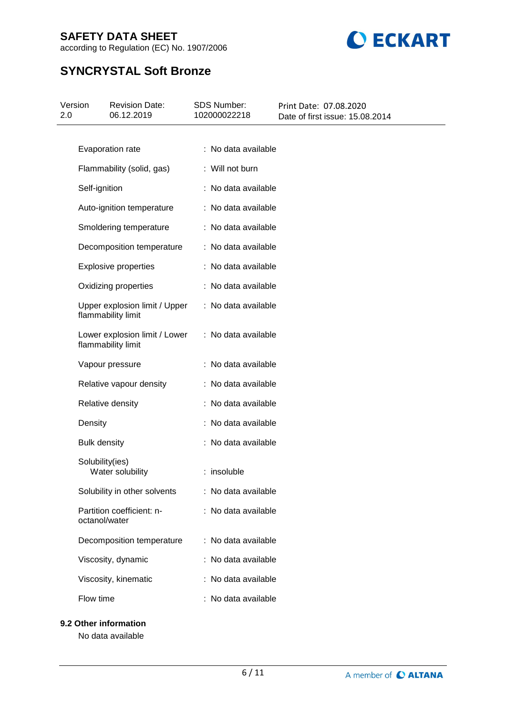



# **SYNCRYSTAL Soft Bronze**

| 2.0 | Version             | <b>Revision Date:</b><br>06.12.2019                 | <b>SDS Number:</b><br>102000022218 | Print Date: 07.08.2020<br>Date of first issue: 15.08.2014 |
|-----|---------------------|-----------------------------------------------------|------------------------------------|-----------------------------------------------------------|
|     |                     |                                                     |                                    |                                                           |
|     |                     | Evaporation rate                                    | : No data available                |                                                           |
|     |                     | Flammability (solid, gas)                           | : Will not burn                    |                                                           |
|     | Self-ignition       |                                                     | : No data available                |                                                           |
|     |                     | Auto-ignition temperature                           | : No data available                |                                                           |
|     |                     | Smoldering temperature                              | : No data available                |                                                           |
|     |                     | Decomposition temperature                           | : No data available                |                                                           |
|     |                     | <b>Explosive properties</b>                         | : No data available                |                                                           |
|     |                     | Oxidizing properties                                | : No data available                |                                                           |
|     |                     | Upper explosion limit / Upper<br>flammability limit | : No data available                |                                                           |
|     |                     | Lower explosion limit / Lower<br>flammability limit | : No data available                |                                                           |
|     |                     | Vapour pressure                                     | : No data available                |                                                           |
|     |                     | Relative vapour density                             | : No data available                |                                                           |
|     |                     | Relative density                                    | : No data available                |                                                           |
|     | Density             |                                                     | : No data available                |                                                           |
|     | <b>Bulk density</b> |                                                     | : No data available                |                                                           |
|     | Solubility(ies)     | Water solubility                                    | : insoluble                        |                                                           |
|     |                     | Solubility in other solvents                        | : No data available                |                                                           |
|     | octanol/water       | Partition coefficient: n-                           | : No data available                |                                                           |
|     |                     | Decomposition temperature                           | : No data available                |                                                           |
|     |                     | Viscosity, dynamic                                  | : No data available                |                                                           |
|     |                     | Viscosity, kinematic                                | : No data available                |                                                           |
|     | Flow time           |                                                     | : No data available                |                                                           |

#### **9.2 Other information**

No data available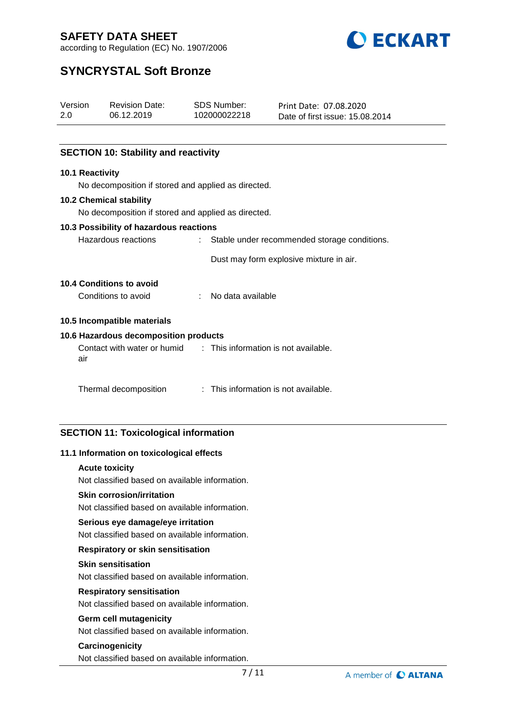

according to Regulation (EC) No. 1907/2006

## **SYNCRYSTAL Soft Bronze**

| Version             |                 | <b>Revision Date:</b>                                            | <b>SDS Number:</b>                   | Print Date: 07.08.2020                  |
|---------------------|-----------------|------------------------------------------------------------------|--------------------------------------|-----------------------------------------|
| 2.0                 |                 | 06.12.2019                                                       | 102000022218                         | Date of first issue: 15.08.2014         |
|                     |                 |                                                                  |                                      |                                         |
|                     |                 | <b>SECTION 10: Stability and reactivity</b>                      |                                      |                                         |
|                     | 10.1 Reactivity |                                                                  |                                      |                                         |
|                     |                 | No decomposition if stored and applied as directed.              |                                      |                                         |
|                     |                 | <b>10.2 Chemical stability</b>                                   |                                      |                                         |
|                     |                 | No decomposition if stored and applied as directed.              |                                      |                                         |
|                     |                 | 10.3 Possibility of hazardous reactions                          |                                      |                                         |
| Hazardous reactions |                 | : Stable under recommended storage conditions.                   |                                      |                                         |
|                     |                 |                                                                  |                                      | Dust may form explosive mixture in air. |
|                     |                 | <b>10.4 Conditions to avoid</b>                                  |                                      |                                         |
|                     |                 | Conditions to avoid                                              | : No data available                  |                                         |
|                     |                 | 10.5 Incompatible materials                                      |                                      |                                         |
|                     |                 | 10.6 Hazardous decomposition products                            |                                      |                                         |
|                     | air             | Contact with water or humid : This information is not available. |                                      |                                         |
|                     |                 | Thermal decomposition                                            | : This information is not available. |                                         |

#### **SECTION 11: Toxicological information**

#### **11.1 Information on toxicological effects**

#### **Acute toxicity**

Not classified based on available information.

#### **Skin corrosion/irritation**

Not classified based on available information.

#### **Serious eye damage/eye irritation**

Not classified based on available information.

#### **Respiratory or skin sensitisation**

#### **Skin sensitisation**

Not classified based on available information.

#### **Respiratory sensitisation**

Not classified based on available information.

#### **Germ cell mutagenicity**

Not classified based on available information.

#### **Carcinogenicity**

Not classified based on available information.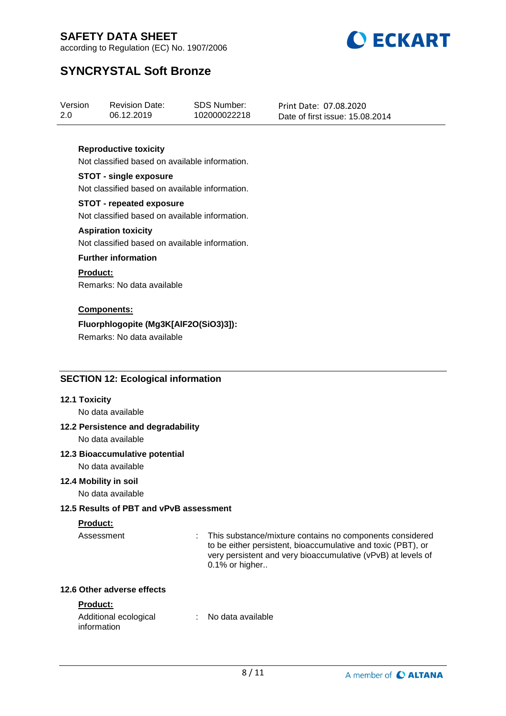

according to Regulation (EC) No. 1907/2006

## **SYNCRYSTAL Soft Bronze**

| Version | <b>Revision Date:</b> | SDS Number:  | Print Date: 07.08.2020          |
|---------|-----------------------|--------------|---------------------------------|
| 2.0     | 06.12.2019            | 102000022218 | Date of first issue: 15.08.2014 |

#### **Reproductive toxicity**

Not classified based on available information.

#### **STOT - single exposure**

Not classified based on available information.

#### **STOT - repeated exposure**

Not classified based on available information.

#### **Aspiration toxicity**

Not classified based on available information.

#### **Further information**

#### **Product:**

Remarks: No data available

#### **Components:**

#### **Fluorphlogopite (Mg3K[AlF2O(SiO3)3]):**

Remarks: No data available

#### **SECTION 12: Ecological information**

#### **12.1 Toxicity**

No data available

#### **12.2 Persistence and degradability**

No data available

#### **12.3 Bioaccumulative potential**

No data available

#### **12.4 Mobility in soil**

No data available

#### **12.5 Results of PBT and vPvB assessment**

#### **Product:**

Assessment : This substance/mixture contains no components considered to be either persistent, bioaccumulative and toxic (PBT), or very persistent and very bioaccumulative (vPvB) at levels of 0.1% or higher..

#### **12.6 Other adverse effects**

#### **Product:**

| Additional ecological | : No data available |
|-----------------------|---------------------|
| information           |                     |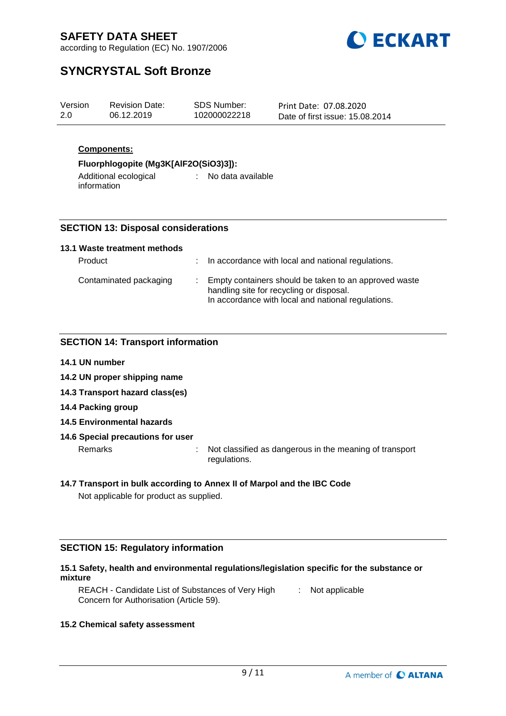

according to Regulation (EC) No. 1907/2006

## **SYNCRYSTAL Soft Bronze**

| Version | <b>Revision Date:</b> | SDS Number:  | Print Date: 07.08.2020          |
|---------|-----------------------|--------------|---------------------------------|
| 2.0     | 06.12.2019            | 102000022218 | Date of first issue: 15.08.2014 |
|         |                       |              |                                 |

#### **Components:**

#### **Fluorphlogopite (Mg3K[AlF2O(SiO3)3]):**

Additional ecological information : No data available

#### **SECTION 13: Disposal considerations**

#### **13.1 Waste treatment methods**

| Product                | : In accordance with local and national regulations.                                                                                                    |
|------------------------|---------------------------------------------------------------------------------------------------------------------------------------------------------|
| Contaminated packaging | Empty containers should be taken to an approved waste<br>handling site for recycling or disposal.<br>In accordance with local and national regulations. |

#### **SECTION 14: Transport information**

- **14.1 UN number**
- **14.2 UN proper shipping name**
- **14.3 Transport hazard class(es)**
- **14.4 Packing group**
- **14.5 Environmental hazards**

#### **14.6 Special precautions for user**

Remarks : Not classified as dangerous in the meaning of transport regulations.

#### **14.7 Transport in bulk according to Annex II of Marpol and the IBC Code**

Not applicable for product as supplied.

#### **SECTION 15: Regulatory information**

#### **15.1 Safety, health and environmental regulations/legislation specific for the substance or mixture**

REACH - Candidate List of Substances of Very High [155] Not applicable Concern for Authorisation (Article 59).

#### **15.2 Chemical safety assessment**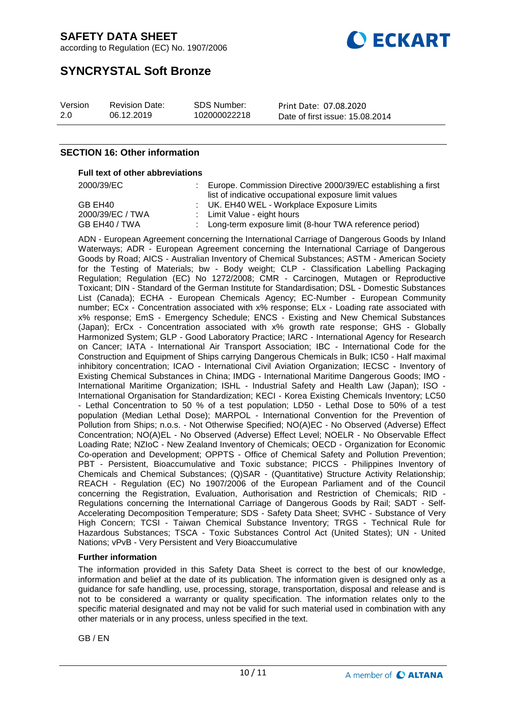



## **SYNCRYSTAL Soft Bronze**

| Version | <b>Revision Date:</b> | SDS Number:  | Print Date: 07.08.2020          |
|---------|-----------------------|--------------|---------------------------------|
| 2.0     | 06.12.2019            | 102000022218 | Date of first issue: 15.08.2014 |

#### **SECTION 16: Other information**

#### **Full text of other abbreviations**

| 2000/39/EC       | Europe. Commission Directive 2000/39/EC establishing a first |
|------------------|--------------------------------------------------------------|
|                  | list of indicative occupational exposure limit values        |
| GB EH40          | : UK. EH40 WEL - Workplace Exposure Limits                   |
| 2000/39/EC / TWA | : Limit Value - eight hours                                  |
| GB EH40 / TWA    | : Long-term exposure limit (8-hour TWA reference period)     |

ADN - European Agreement concerning the International Carriage of Dangerous Goods by Inland Waterways; ADR - European Agreement concerning the International Carriage of Dangerous Goods by Road; AICS - Australian Inventory of Chemical Substances; ASTM - American Society for the Testing of Materials; bw - Body weight; CLP - Classification Labelling Packaging Regulation; Regulation (EC) No 1272/2008; CMR - Carcinogen, Mutagen or Reproductive Toxicant; DIN - Standard of the German Institute for Standardisation; DSL - Domestic Substances List (Canada); ECHA - European Chemicals Agency; EC-Number - European Community number; ECx - Concentration associated with x% response; ELx - Loading rate associated with x% response; EmS - Emergency Schedule; ENCS - Existing and New Chemical Substances (Japan); ErCx - Concentration associated with x% growth rate response; GHS - Globally Harmonized System; GLP - Good Laboratory Practice; IARC - International Agency for Research on Cancer; IATA - International Air Transport Association; IBC - International Code for the Construction and Equipment of Ships carrying Dangerous Chemicals in Bulk; IC50 - Half maximal inhibitory concentration; ICAO - International Civil Aviation Organization; IECSC - Inventory of Existing Chemical Substances in China; IMDG - International Maritime Dangerous Goods; IMO - International Maritime Organization; ISHL - Industrial Safety and Health Law (Japan); ISO - International Organisation for Standardization; KECI - Korea Existing Chemicals Inventory; LC50 - Lethal Concentration to 50 % of a test population; LD50 - Lethal Dose to 50% of a test population (Median Lethal Dose); MARPOL - International Convention for the Prevention of Pollution from Ships; n.o.s. - Not Otherwise Specified; NO(A)EC - No Observed (Adverse) Effect Concentration; NO(A)EL - No Observed (Adverse) Effect Level; NOELR - No Observable Effect Loading Rate; NZIoC - New Zealand Inventory of Chemicals; OECD - Organization for Economic Co-operation and Development; OPPTS - Office of Chemical Safety and Pollution Prevention; PBT - Persistent, Bioaccumulative and Toxic substance; PICCS - Philippines Inventory of Chemicals and Chemical Substances; (Q)SAR - (Quantitative) Structure Activity Relationship; REACH - Regulation (EC) No 1907/2006 of the European Parliament and of the Council concerning the Registration, Evaluation, Authorisation and Restriction of Chemicals; RID - Regulations concerning the International Carriage of Dangerous Goods by Rail; SADT - Self-Accelerating Decomposition Temperature; SDS - Safety Data Sheet; SVHC - Substance of Very High Concern; TCSI - Taiwan Chemical Substance Inventory; TRGS - Technical Rule for Hazardous Substances; TSCA - Toxic Substances Control Act (United States); UN - United Nations; vPvB - Very Persistent and Very Bioaccumulative

#### **Further information**

The information provided in this Safety Data Sheet is correct to the best of our knowledge, information and belief at the date of its publication. The information given is designed only as a guidance for safe handling, use, processing, storage, transportation, disposal and release and is not to be considered a warranty or quality specification. The information relates only to the specific material designated and may not be valid for such material used in combination with any other materials or in any process, unless specified in the text.

GB / EN